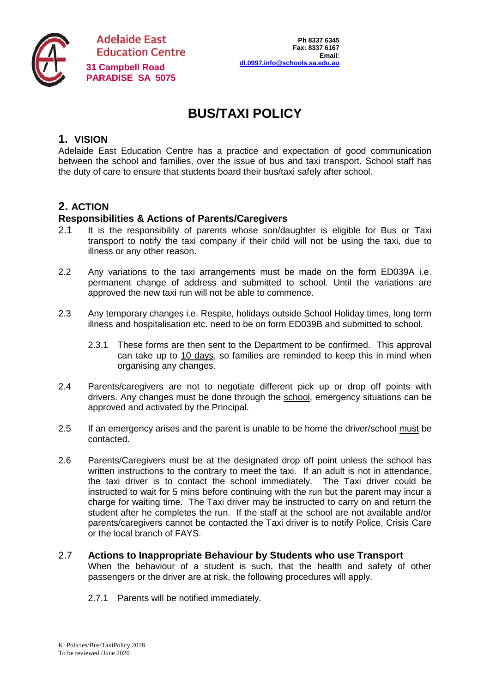

**Adelaide East Education Centre [dl.0997.info@schools.sa.edu.au](mailto:dl.0997.info@schools.sa.edu.au) 31 Campbell Road PARADISE SA 5075**

# **BUS/TAXI POLICY**

# **1. VISION**

Adelaide East Education Centre has a practice and expectation of good communication between the school and families, over the issue of bus and taxi transport. School staff has the duty of care to ensure that students board their bus/taxi safely after school.

## **2. ACTION**

#### **Responsibilities & Actions of Parents/Caregivers**

- 2.1 It is the responsibility of parents whose son/daughter is eligible for Bus or Taxi transport to notify the taxi company if their child will not be using the taxi, due to illness or any other reason.
- 2.2 Any variations to the taxi arrangements must be made on the form ED039A i.e. permanent change of address and submitted to school. Until the variations are approved the new taxi run will not be able to commence.
- 2.3 Any temporary changes i.e. Respite, holidays outside School Holiday times, long term illness and hospitalisation etc. need to be on form ED039B and submitted to school.
	- 2.3.1 These forms are then sent to the Department to be confirmed. This approval can take up to 10 days, so families are reminded to keep this in mind when organising any changes.
- 2.4 Parents/caregivers are not to negotiate different pick up or drop off points with drivers. Any changes must be done through the school, emergency situations can be approved and activated by the Principal.
- 2.5 If an emergency arises and the parent is unable to be home the driver/school must be contacted.
- 2.6 Parents/Caregivers must be at the designated drop off point unless the school has written instructions to the contrary to meet the taxi. If an adult is not in attendance, the taxi driver is to contact the school immediately. The Taxi driver could be instructed to wait for 5 mins before continuing with the run but the parent may incur a charge for waiting time. The Taxi driver may be instructed to carry on and return the student after he completes the run. If the staff at the school are not available and/or parents/caregivers cannot be contacted the Taxi driver is to notify Police, Crisis Care or the local branch of FAYS.
- 2.7 **Actions to Inappropriate Behaviour by Students who use Transport**  When the behaviour of a student is such, that the health and safety of other passengers or the driver are at risk, the following procedures will apply.
	- 2.7.1 Parents will be notified immediately.